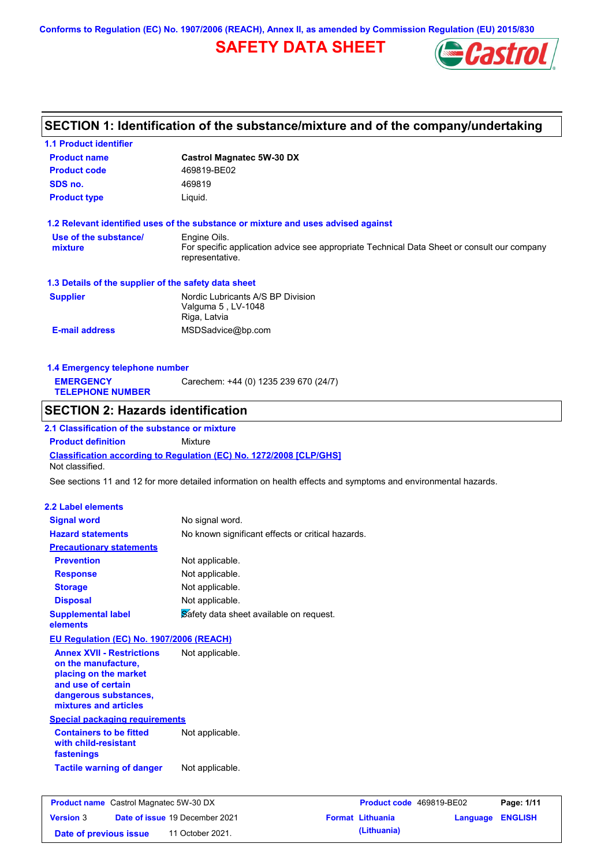**Conforms to Regulation (EC) No. 1907/2006 (REACH), Annex II, as amended by Commission Regulation (EU) 2015/830**

# **SAFETY DATA SHEET**



# **SECTION 1: Identification of the substance/mixture and of the company/undertaking**

| <b>1.1 Product identifier</b>                          |                                                                                                                |
|--------------------------------------------------------|----------------------------------------------------------------------------------------------------------------|
| <b>Product name</b>                                    | <b>Castrol Magnatec 5W-30 DX</b>                                                                               |
| <b>Product code</b>                                    | 469819-BE02                                                                                                    |
| SDS no.                                                | 469819                                                                                                         |
| <b>Product type</b>                                    | Liquid.                                                                                                        |
|                                                        | 1.2 Relevant identified uses of the substance or mixture and uses advised against                              |
| Use of the substance/                                  | Engine Oils.                                                                                                   |
| mixture                                                | For specific application advice see appropriate Technical Data Sheet or consult our company<br>representative. |
| 1.3 Details of the supplier of the safety data sheet   |                                                                                                                |
| <b>Supplier</b>                                        | Nordic Lubricants A/S BP Division                                                                              |
|                                                        | Valguma 5, LV-1048<br>Riga, Latvia                                                                             |
| <b>E-mail address</b>                                  | MSDSadvice@bp.com                                                                                              |
|                                                        |                                                                                                                |
| 1.4 Emergency telephone number                         |                                                                                                                |
| <b>EMERGENCY</b>                                       | Carechem: +44 (0) 1235 239 670 (24/7)                                                                          |
| <b>TELEPHONE NUMBER</b>                                |                                                                                                                |
| <b>SECTION 2: Hazards identification</b>               |                                                                                                                |
| 2.1 Classification of the substance or mixture         |                                                                                                                |
| <b>Product definition</b>                              | <b>Mixture</b>                                                                                                 |
| Not classified.                                        | Classification according to Regulation (EC) No. 1272/2008 [CLP/GHS]                                            |
|                                                        | See sections 11 and 12 for more detailed information on health effects and symptoms and environmental hazards. |
| 2.2 Label elements                                     |                                                                                                                |
| <b>Signal word</b>                                     | No signal word.                                                                                                |
| <b>Hazard statements</b>                               | No known significant effects or critical hazards.                                                              |
| <b>Precautionary statements</b>                        |                                                                                                                |
| <b>Prevention</b>                                      | Not applicable.                                                                                                |
| <b>Response</b>                                        | Not applicable.                                                                                                |
| <b>Storage</b>                                         | Not applicable.                                                                                                |
| <b>Disposal</b>                                        | Not applicable.                                                                                                |
| <b>Supplemental label</b><br>elements                  | Safety data sheet available on request.                                                                        |
| EU Regulation (EC) No. 1907/2006 (REACH)               |                                                                                                                |
| <b>Annex XVII - Restrictions</b>                       | Not applicable.                                                                                                |
| on the manufacture,                                    |                                                                                                                |
| placing on the market                                  |                                                                                                                |
| and use of certain<br>dangerous substances,            |                                                                                                                |
| mixtures and articles                                  |                                                                                                                |
| <b>Special packaging requirements</b>                  |                                                                                                                |
| <b>Containers to be fitted</b><br>with child-resistant | Not applicable.                                                                                                |
| fastenings                                             |                                                                                                                |
| <b>Tactile warning of danger</b>                       | Not applicable.                                                                                                |
|                                                        |                                                                                                                |
| <b>Product name</b> Castrol Magnatec 5W-30 DX          | Product code 469819-BE02<br>Page: 1/11                                                                         |
| <b>Version 3</b>                                       | Date of issue 19 December 2021<br><b>Format Lithuania</b><br><b>ENGLISH</b><br>Language                        |

**Date of previous issue (Lithuania)** 11 October 2021.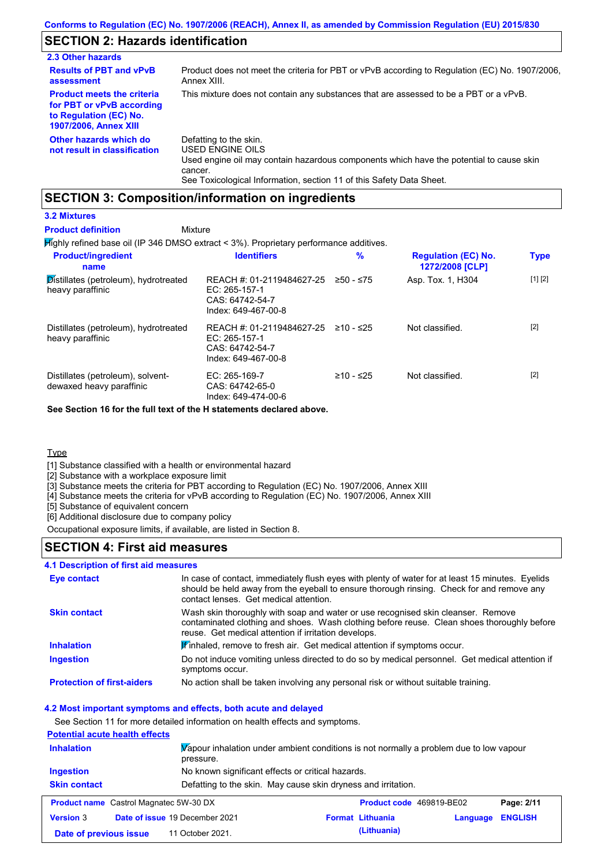## **SECTION 2: Hazards identification**

| 2.3 Other hazards                                                                                                        |                                                                                                                                                                                                                          |
|--------------------------------------------------------------------------------------------------------------------------|--------------------------------------------------------------------------------------------------------------------------------------------------------------------------------------------------------------------------|
| <b>Results of PBT and vPvB</b><br>assessment                                                                             | Product does not meet the criteria for PBT or vPvB according to Regulation (EC) No. 1907/2006.<br>Annex XIII.                                                                                                            |
| <b>Product meets the criteria</b><br>for PBT or vPvB according<br>to Regulation (EC) No.<br><b>1907/2006, Annex XIII</b> | This mixture does not contain any substances that are assessed to be a PBT or a vPvB.                                                                                                                                    |
| Other hazards which do<br>not result in classification                                                                   | Defatting to the skin.<br>USED ENGINE OILS<br>Used engine oil may contain hazardous components which have the potential to cause skin<br>cancer.<br>See Toxicological Information, section 11 of this Safety Data Sheet. |

## **SECTION 3: Composition/information on ingredients**

### **3.2 Mixtures**

#### Mixture **Product definition**

Highly refined base oil (IP 346 DMSO extract < 3%). Proprietary performance additives.

| <b>Product/ingredient</b><br>name                                      | <b>Identifiers</b>                                                                     | $\%$        | <b>Regulation (EC) No.</b><br>1272/2008 [CLP] | <b>Type</b> |
|------------------------------------------------------------------------|----------------------------------------------------------------------------------------|-------------|-----------------------------------------------|-------------|
| $\mathcal{D}$ istillates (petroleum), hydrotreated<br>heavy paraffinic | REACH #: 01-2119484627-25<br>EC: $265-157-1$<br>CAS: 64742-54-7<br>Index: 649-467-00-8 | ≥50 - ≤75   | Asp. Tox. 1, H304                             | [1] [2]     |
| Distillates (petroleum), hydrotreated<br>heavy paraffinic              | REACH #: 01-2119484627-25<br>EC: $265-157-1$<br>CAS: 64742-54-7<br>Index: 649-467-00-8 | ≥10 - ≤25   | Not classified.                               | $[2]$       |
| Distillates (petroleum), solvent-<br>dewaxed heavy paraffinic          | $EC: 265-169-7$<br>CAS: 64742-65-0<br>Index: 649-474-00-6                              | $≥10 - ≤25$ | Not classified.                               | $[2]$       |

**See Section 16 for the full text of the H statements declared above.**

### **Type**

[1] Substance classified with a health or environmental hazard

[2] Substance with a workplace exposure limit

[3] Substance meets the criteria for PBT according to Regulation (EC) No. 1907/2006, Annex XIII

[4] Substance meets the criteria for vPvB according to Regulation (EC) No. 1907/2006, Annex XIII

[5] Substance of equivalent concern

[6] Additional disclosure due to company policy

Occupational exposure limits, if available, are listed in Section 8.

### **SECTION 4: First aid measures**

### **4.1 Description of first aid measures**

| Eye contact                       | In case of contact, immediately flush eyes with plenty of water for at least 15 minutes. Eyelids<br>should be held away from the eyeball to ensure thorough rinsing. Check for and remove any<br>contact lenses. Get medical attention. |
|-----------------------------------|-----------------------------------------------------------------------------------------------------------------------------------------------------------------------------------------------------------------------------------------|
| <b>Skin contact</b>               | Wash skin thoroughly with soap and water or use recognised skin cleanser. Remove<br>contaminated clothing and shoes. Wash clothing before reuse. Clean shoes thoroughly before<br>reuse. Get medical attention if irritation develops.  |
| <b>Inhalation</b>                 | Winhaled, remove to fresh air. Get medical attention if symptoms occur.                                                                                                                                                                 |
| <b>Ingestion</b>                  | Do not induce vomiting unless directed to do so by medical personnel. Get medical attention if<br>symptoms occur.                                                                                                                       |
| <b>Protection of first-aiders</b> | No action shall be taken involving any personal risk or without suitable training.                                                                                                                                                      |

### **4.2 Most important symptoms and effects, both acute and delayed**

See Section 11 for more detailed information on health effects and symptoms.

### **Potential acute health effects**

| <b>Inhalation</b>      | pressure.                                         | Vapour inhalation under ambient conditions is not normally a problem due to low vapour |
|------------------------|---------------------------------------------------|----------------------------------------------------------------------------------------|
| Ingestion              | No known significant effects or critical hazards. |                                                                                        |
| <b>Skin contact</b>    |                                                   | Defatting to the skin. May cause skin dryness and irritation.                          |
|                        | <b>Product name</b> Castrol Magnatec 5W-30 DX     | Product code 469819-BE02<br>Page: 2/11                                                 |
| <b>Version 3</b>       | Date of issue 19 December 2021                    | <b>ENGLISH</b><br><b>Format Lithuania</b><br>Language                                  |
| Date of previous issue | 11 October 2021.                                  | (Lithuania)                                                                            |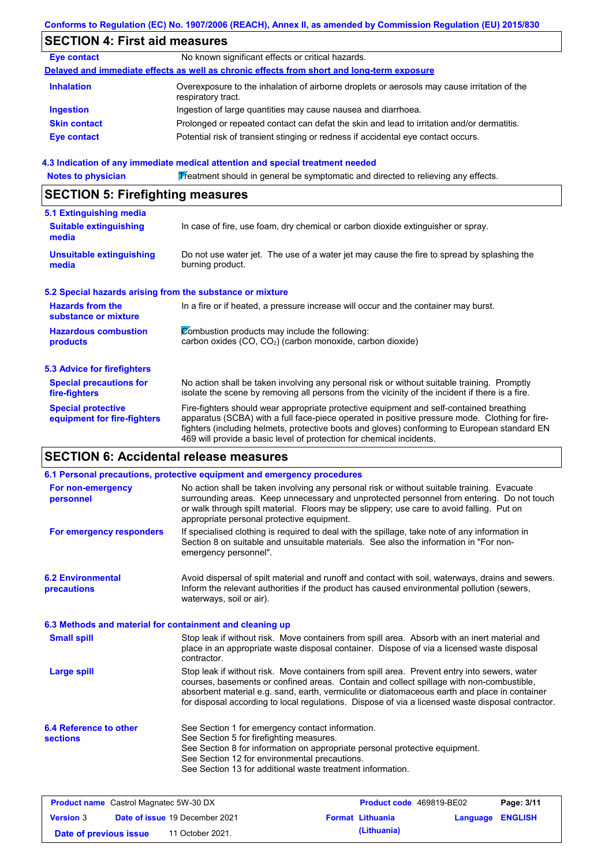### **Conforms to Regulation (EC) No. 1907/2006 (REACH), Annex II, as amended by Commission Regulation (EU) 2015/830**

# **SECTION 4: First aid measures**

| <b>Eye contact</b>  | No known significant effects or critical hazards.                                                                 |
|---------------------|-------------------------------------------------------------------------------------------------------------------|
|                     | Delayed and immediate effects as well as chronic effects from short and long-term exposure                        |
| <b>Inhalation</b>   | Overexposure to the inhalation of airborne droplets or aerosols may cause irritation of the<br>respiratory tract. |
| <b>Ingestion</b>    | Ingestion of large quantities may cause nausea and diarrhoea.                                                     |
| <b>Skin contact</b> | Prolonged or repeated contact can defat the skin and lead to irritation and/or dermatitis.                        |
| Eye contact         | Potential risk of transient stinging or redness if accidental eye contact occurs.                                 |

### **4.3 Indication of any immediate medical attention and special treatment needed**

Notes to physician **Treatment should in general be symptomatic and directed to relieving any effects.** 

## **SECTION 5: Firefighting measures**

| 5.1 Extinguishing media                                   |                                                                                                                                                                                                                                                                                                                                                                   |
|-----------------------------------------------------------|-------------------------------------------------------------------------------------------------------------------------------------------------------------------------------------------------------------------------------------------------------------------------------------------------------------------------------------------------------------------|
| <b>Suitable extinguishing</b><br>media                    | In case of fire, use foam, dry chemical or carbon dioxide extinguisher or spray.                                                                                                                                                                                                                                                                                  |
| <b>Unsuitable extinguishing</b><br>media                  | Do not use water jet. The use of a water jet may cause the fire to spread by splashing the<br>burning product.                                                                                                                                                                                                                                                    |
| 5.2 Special hazards arising from the substance or mixture |                                                                                                                                                                                                                                                                                                                                                                   |
| <b>Hazards from the</b><br>substance or mixture           | In a fire or if heated, a pressure increase will occur and the container may burst.                                                                                                                                                                                                                                                                               |
| <b>Hazardous combustion</b>                               | Combustion products may include the following:                                                                                                                                                                                                                                                                                                                    |
| products                                                  | carbon oxides $(CO, CO2)$ (carbon monoxide, carbon dioxide)                                                                                                                                                                                                                                                                                                       |
| <b>5.3 Advice for firefighters</b>                        |                                                                                                                                                                                                                                                                                                                                                                   |
| <b>Special precautions for</b><br>fire-fighters           | No action shall be taken involving any personal risk or without suitable training. Promptly<br>isolate the scene by removing all persons from the vicinity of the incident if there is a fire.                                                                                                                                                                    |
| <b>Special protective</b><br>equipment for fire-fighters  | Fire-fighters should wear appropriate protective equipment and self-contained breathing<br>apparatus (SCBA) with a full face-piece operated in positive pressure mode. Clothing for fire-<br>fighters (including helmets, protective boots and gloves) conforming to European standard EN<br>469 will provide a basic level of protection for chemical incidents. |

## **SECTION 6: Accidental release measures**

| 6.1 Personal precautions, protective equipment and emergency procedures                                                                                                                                                                                                                                                                                                                        |
|------------------------------------------------------------------------------------------------------------------------------------------------------------------------------------------------------------------------------------------------------------------------------------------------------------------------------------------------------------------------------------------------|
| No action shall be taken involving any personal risk or without suitable training. Evacuate<br>surrounding areas. Keep unnecessary and unprotected personnel from entering. Do not touch<br>or walk through spilt material. Floors may be slippery; use care to avoid falling. Put on<br>appropriate personal protective equipment.                                                            |
| If specialised clothing is required to deal with the spillage, take note of any information in<br>Section 8 on suitable and unsuitable materials. See also the information in "For non-<br>emergency personnel".                                                                                                                                                                               |
| Avoid dispersal of spilt material and runoff and contact with soil, waterways, drains and sewers.<br>Inform the relevant authorities if the product has caused environmental pollution (sewers,<br>waterways, soil or air).                                                                                                                                                                    |
| 6.3 Methods and material for containment and cleaning up                                                                                                                                                                                                                                                                                                                                       |
| Stop leak if without risk. Move containers from spill area. Absorb with an inert material and<br>place in an appropriate waste disposal container. Dispose of via a licensed waste disposal<br>contractor.                                                                                                                                                                                     |
| Stop leak if without risk. Move containers from spill area. Prevent entry into sewers, water<br>courses, basements or confined areas. Contain and collect spillage with non-combustible,<br>absorbent material e.g. sand, earth, vermiculite or diatomaceous earth and place in container<br>for disposal according to local regulations. Dispose of via a licensed waste disposal contractor. |
| See Section 1 for emergency contact information.<br>See Section 5 for firefighting measures.<br>See Section 8 for information on appropriate personal protective equipment.<br>See Section 12 for environmental precautions.<br>See Section 13 for additional waste treatment information.                                                                                                     |
|                                                                                                                                                                                                                                                                                                                                                                                                |

| <b>Product name</b> Castrol Magnatec 5W-30 DX |  | <b>Product code</b> 469819-BE02       |  | Page: 3/11              |                         |  |
|-----------------------------------------------|--|---------------------------------------|--|-------------------------|-------------------------|--|
| <b>Version 3</b>                              |  | <b>Date of issue 19 December 2021</b> |  | <b>Format Lithuania</b> | <b>Language ENGLISH</b> |  |
| Date of previous issue                        |  | 11 October 2021.                      |  | (Lithuania)             |                         |  |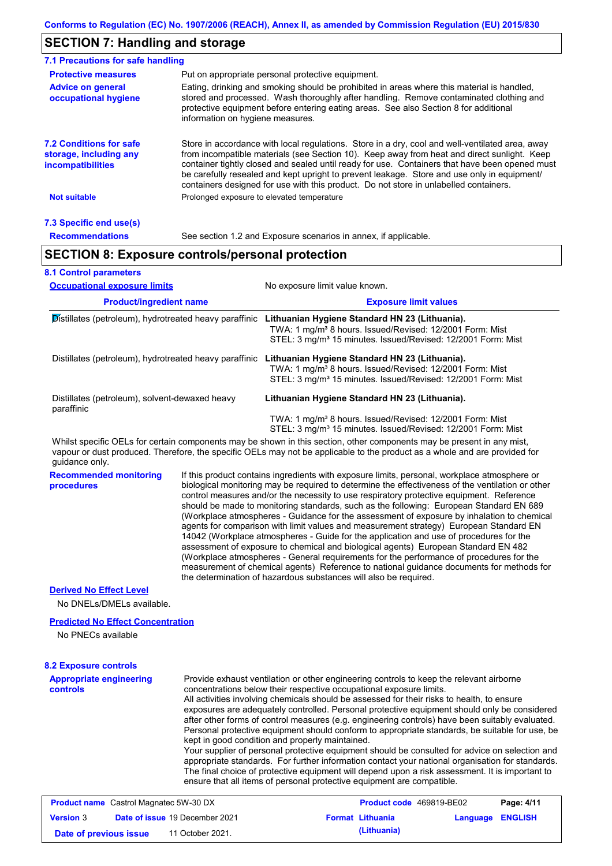## **SECTION 7: Handling and storage**

| 7.1 Precautions for safe handling                                             |                                  |                                                                                                                                                                                                                                                                                                                                                                                                                                                                                          |
|-------------------------------------------------------------------------------|----------------------------------|------------------------------------------------------------------------------------------------------------------------------------------------------------------------------------------------------------------------------------------------------------------------------------------------------------------------------------------------------------------------------------------------------------------------------------------------------------------------------------------|
| <b>Protective measures</b>                                                    |                                  | Put on appropriate personal protective equipment.                                                                                                                                                                                                                                                                                                                                                                                                                                        |
| <b>Advice on general</b><br>occupational hygiene                              | information on hygiene measures. | Eating, drinking and smoking should be prohibited in areas where this material is handled,<br>stored and processed. Wash thoroughly after handling. Remove contaminated clothing and<br>protective equipment before entering eating areas. See also Section 8 for additional                                                                                                                                                                                                             |
| <b>7.2 Conditions for safe</b><br>storage, including any<br>incompatibilities |                                  | Store in accordance with local regulations. Store in a dry, cool and well-ventilated area, away<br>from incompatible materials (see Section 10). Keep away from heat and direct sunlight. Keep<br>container tightly closed and sealed until ready for use. Containers that have been opened must<br>be carefully resealed and kept upright to prevent leakage. Store and use only in equipment/<br>containers designed for use with this product. Do not store in unlabelled containers. |
| <b>Not suitable</b>                                                           |                                  | Prolonged exposure to elevated temperature                                                                                                                                                                                                                                                                                                                                                                                                                                               |
| 7.3 Specific end use(s)                                                       |                                  |                                                                                                                                                                                                                                                                                                                                                                                                                                                                                          |
| <b>Recommendations</b>                                                        |                                  | See section 1.2 and Exposure scenarios in annex, if applicable.                                                                                                                                                                                                                                                                                                                                                                                                                          |
| <b>SECTION 8: Exposure controls/personal protection</b>                       |                                  |                                                                                                                                                                                                                                                                                                                                                                                                                                                                                          |
| <b>8.1 Control parameters</b>                                                 |                                  |                                                                                                                                                                                                                                                                                                                                                                                                                                                                                          |
| <b>Occupational exposure limits</b>                                           |                                  | No exposure limit value known.                                                                                                                                                                                                                                                                                                                                                                                                                                                           |
| <b>Product/ingredient name</b>                                                |                                  | <b>Exposure limit values</b>                                                                                                                                                                                                                                                                                                                                                                                                                                                             |
| Distillates (petroleum), hydrotreated heavy paraffinic                        |                                  | Lithuanian Hygiene Standard HN 23 (Lithuania).<br>TWA: 1 mg/m <sup>3</sup> 8 hours, Issued/Revised: 12/2001 Form: Mist<br>STEL: 3 mg/m <sup>3</sup> 15 minutes. Issued/Revised: 12/2001 Form: Mist                                                                                                                                                                                                                                                                                       |
| Distillates (petroleum), hydrotreated heavy paraffinic                        |                                  | Lithuanian Hygiene Standard HN 23 (Lithuania).<br>TWA: 1 mg/m <sup>3</sup> 8 hours. Issued/Revised: 12/2001 Form: Mist<br>STEL: 3 mg/m <sup>3</sup> 15 minutes. Issued/Revised: 12/2001 Form: Mist                                                                                                                                                                                                                                                                                       |
| Distillates (petroleum), solvent-dewaxed heavy<br>paraffinic                  |                                  | Lithuanian Hygiene Standard HN 23 (Lithuania).                                                                                                                                                                                                                                                                                                                                                                                                                                           |

 TWA: 1 mg/m³ 8 hours. Issued/Revised: 12/2001 Form: Mist STEL: 3 mg/m<sup>3</sup> 15 minutes. Issued/Revised: 12/2001 Form: Mist

Whilst specific OELs for certain components may be shown in this section, other components may be present in any mist, vapour or dust produced. Therefore, the specific OELs may not be applicable to the product as a whole and are provided for guidance only.

**Recommended monitoring procedures** If this product contains ingredients with exposure limits, personal, workplace atmosphere or biological monitoring may be required to determine the effectiveness of the ventilation or other control measures and/or the necessity to use respiratory protective equipment. Reference should be made to monitoring standards, such as the following: European Standard EN 689 (Workplace atmospheres - Guidance for the assessment of exposure by inhalation to chemical agents for comparison with limit values and measurement strategy) European Standard EN 14042 (Workplace atmospheres - Guide for the application and use of procedures for the assessment of exposure to chemical and biological agents) European Standard EN 482 (Workplace atmospheres - General requirements for the performance of procedures for the measurement of chemical agents) Reference to national guidance documents for methods for the determination of hazardous substances will also be required.

### **Derived No Effect Level**

No DNELs/DMELs available.

### **Predicted No Effect Concentration**

No PNECs available

### **8.2 Exposure controls**

**Appropriate engineering controls** Provide exhaust ventilation or other engineering controls to keep the relevant airborne concentrations below their respective occupational exposure limits. All activities involving chemicals should be assessed for their risks to health, to ensure exposures are adequately controlled. Personal protective equipment should only be considered after other forms of control measures (e.g. engineering controls) have been suitably evaluated. Personal protective equipment should conform to appropriate standards, be suitable for use, be kept in good condition and properly maintained. Your supplier of personal protective equipment should be consulted for advice on selection and appropriate standards. For further information contact your national organisation for standards. The final choice of protective equipment will depend upon a risk assessment. It is important to ensure that all items of personal protective equipment are compatible. **Product name** Castrol Magnatec 5W-30 DX **Product code** 469819-BE02 **Page: 4/11**

| <b>Product name</b> Castrol Magnatec 5W-30 DX |                                       | <b>Product code</b> 469819-BE02 |                  | Page: 4/11 |
|-----------------------------------------------|---------------------------------------|---------------------------------|------------------|------------|
| <b>Version 3</b>                              | <b>Date of issue 19 December 2021</b> | <b>Format Lithuania</b>         | Language ENGLISH |            |
| Date of previous issue                        | 11 October 2021.                      | (Lithuania)                     |                  |            |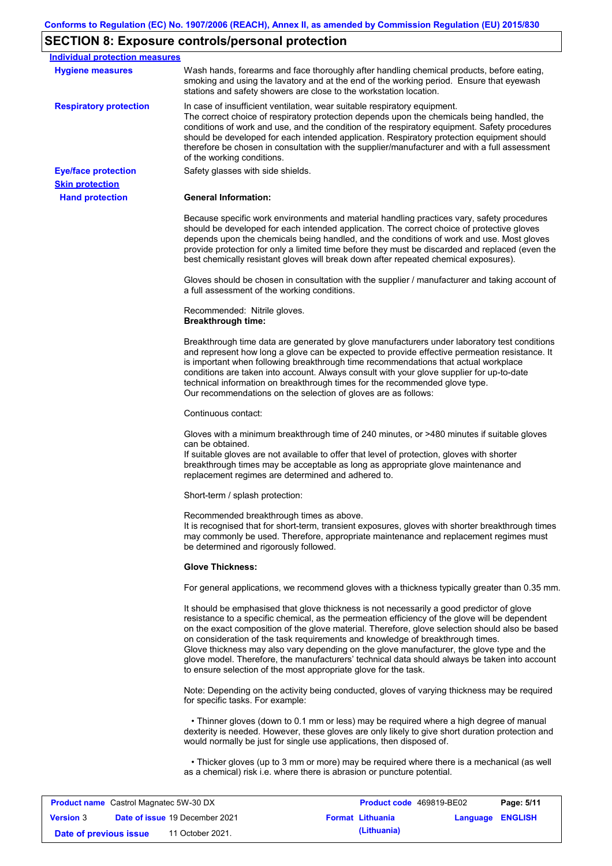# **SECTION 8: Exposure controls/personal protection**

| <b>Individual protection measures</b> |                                                                                                                                                                                                                                                                                                                                                                                                                                                                                                                                                                                                                                                   |
|---------------------------------------|---------------------------------------------------------------------------------------------------------------------------------------------------------------------------------------------------------------------------------------------------------------------------------------------------------------------------------------------------------------------------------------------------------------------------------------------------------------------------------------------------------------------------------------------------------------------------------------------------------------------------------------------------|
| <b>Hygiene measures</b>               | Wash hands, forearms and face thoroughly after handling chemical products, before eating,<br>smoking and using the lavatory and at the end of the working period. Ensure that eyewash<br>stations and safety showers are close to the workstation location.                                                                                                                                                                                                                                                                                                                                                                                       |
| <b>Respiratory protection</b>         | In case of insufficient ventilation, wear suitable respiratory equipment.<br>The correct choice of respiratory protection depends upon the chemicals being handled, the<br>conditions of work and use, and the condition of the respiratory equipment. Safety procedures<br>should be developed for each intended application. Respiratory protection equipment should<br>therefore be chosen in consultation with the supplier/manufacturer and with a full assessment<br>of the working conditions.                                                                                                                                             |
| <b>Eye/face protection</b>            | Safety glasses with side shields.                                                                                                                                                                                                                                                                                                                                                                                                                                                                                                                                                                                                                 |
| <b>Skin protection</b>                |                                                                                                                                                                                                                                                                                                                                                                                                                                                                                                                                                                                                                                                   |
| <b>Hand protection</b>                | <b>General Information:</b>                                                                                                                                                                                                                                                                                                                                                                                                                                                                                                                                                                                                                       |
|                                       | Because specific work environments and material handling practices vary, safety procedures<br>should be developed for each intended application. The correct choice of protective gloves<br>depends upon the chemicals being handled, and the conditions of work and use. Most gloves<br>provide protection for only a limited time before they must be discarded and replaced (even the<br>best chemically resistant gloves will break down after repeated chemical exposures).                                                                                                                                                                  |
|                                       | Gloves should be chosen in consultation with the supplier / manufacturer and taking account of<br>a full assessment of the working conditions.                                                                                                                                                                                                                                                                                                                                                                                                                                                                                                    |
|                                       | Recommended: Nitrile gloves.<br><b>Breakthrough time:</b>                                                                                                                                                                                                                                                                                                                                                                                                                                                                                                                                                                                         |
|                                       | Breakthrough time data are generated by glove manufacturers under laboratory test conditions<br>and represent how long a glove can be expected to provide effective permeation resistance. It<br>is important when following breakthrough time recommendations that actual workplace<br>conditions are taken into account. Always consult with your glove supplier for up-to-date<br>technical information on breakthrough times for the recommended glove type.<br>Our recommendations on the selection of gloves are as follows:                                                                                                                |
|                                       | Continuous contact:                                                                                                                                                                                                                                                                                                                                                                                                                                                                                                                                                                                                                               |
|                                       | Gloves with a minimum breakthrough time of 240 minutes, or >480 minutes if suitable gloves<br>can be obtained.<br>If suitable gloves are not available to offer that level of protection, gloves with shorter<br>breakthrough times may be acceptable as long as appropriate glove maintenance and<br>replacement regimes are determined and adhered to.                                                                                                                                                                                                                                                                                          |
|                                       | Short-term / splash protection:                                                                                                                                                                                                                                                                                                                                                                                                                                                                                                                                                                                                                   |
|                                       | Recommended breakthrough times as above.<br>It is recognised that for short-term, transient exposures, gloves with shorter breakthrough times<br>may commonly be used. Therefore, appropriate maintenance and replacement regimes must<br>be determined and rigorously followed.                                                                                                                                                                                                                                                                                                                                                                  |
|                                       | <b>Glove Thickness:</b>                                                                                                                                                                                                                                                                                                                                                                                                                                                                                                                                                                                                                           |
|                                       | For general applications, we recommend gloves with a thickness typically greater than 0.35 mm.                                                                                                                                                                                                                                                                                                                                                                                                                                                                                                                                                    |
|                                       | It should be emphasised that glove thickness is not necessarily a good predictor of glove<br>resistance to a specific chemical, as the permeation efficiency of the glove will be dependent<br>on the exact composition of the glove material. Therefore, glove selection should also be based<br>on consideration of the task requirements and knowledge of breakthrough times.<br>Glove thickness may also vary depending on the glove manufacturer, the glove type and the<br>glove model. Therefore, the manufacturers' technical data should always be taken into account<br>to ensure selection of the most appropriate glove for the task. |
|                                       | Note: Depending on the activity being conducted, gloves of varying thickness may be required<br>for specific tasks. For example:                                                                                                                                                                                                                                                                                                                                                                                                                                                                                                                  |
|                                       | • Thinner gloves (down to 0.1 mm or less) may be required where a high degree of manual<br>dexterity is needed. However, these gloves are only likely to give short duration protection and<br>would normally be just for single use applications, then disposed of.                                                                                                                                                                                                                                                                                                                                                                              |
|                                       | • Thicker gloves (up to 3 mm or more) may be required where there is a mechanical (as well<br>as a chemical) risk i.e. where there is abrasion or puncture potential.                                                                                                                                                                                                                                                                                                                                                                                                                                                                             |
|                                       |                                                                                                                                                                                                                                                                                                                                                                                                                                                                                                                                                                                                                                                   |

| <b>Product name</b> Castrol Magnatec 5W-30 DX |  | <b>Product code</b> 469819-BE02       |  | Page: 5/11              |                  |  |
|-----------------------------------------------|--|---------------------------------------|--|-------------------------|------------------|--|
| <b>Version 3</b>                              |  | <b>Date of issue 19 December 2021</b> |  | <b>Format Lithuania</b> | Language ENGLISH |  |
| Date of previous issue                        |  | 11 October 2021.                      |  | (Lithuania)             |                  |  |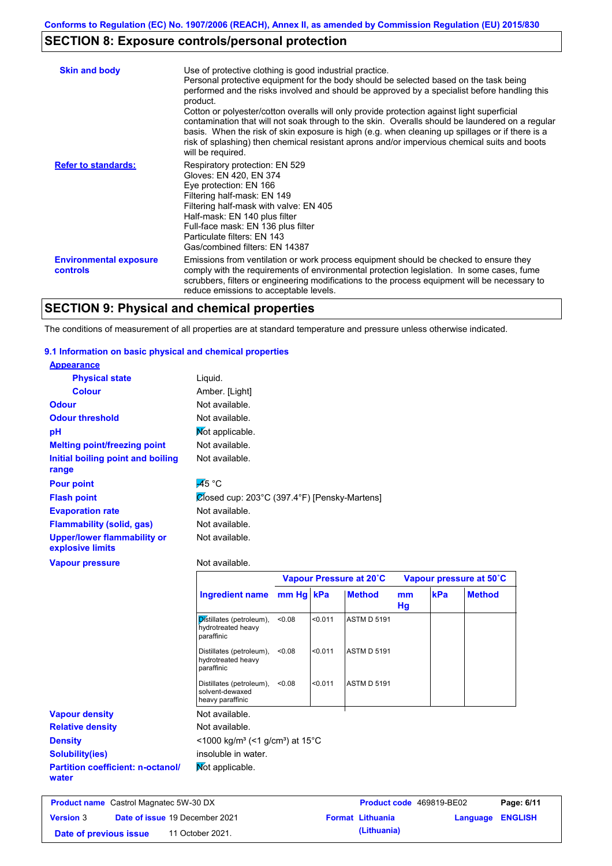# **SECTION 8: Exposure controls/personal protection**

| <b>Skin and body</b>                             | Use of protective clothing is good industrial practice.<br>Personal protective equipment for the body should be selected based on the task being<br>performed and the risks involved and should be approved by a specialist before handling this<br>product.<br>Cotton or polyester/cotton overalls will only provide protection against light superficial<br>contamination that will not soak through to the skin. Overalls should be laundered on a regular<br>basis. When the risk of skin exposure is high (e.g. when cleaning up spillages or if there is a<br>risk of splashing) then chemical resistant aprons and/or impervious chemical suits and boots<br>will be required. |
|--------------------------------------------------|---------------------------------------------------------------------------------------------------------------------------------------------------------------------------------------------------------------------------------------------------------------------------------------------------------------------------------------------------------------------------------------------------------------------------------------------------------------------------------------------------------------------------------------------------------------------------------------------------------------------------------------------------------------------------------------|
| <b>Refer to standards:</b>                       | Respiratory protection: EN 529<br>Gloves: EN 420, EN 374<br>Eye protection: EN 166<br>Filtering half-mask: EN 149<br>Filtering half-mask with valve: EN 405<br>Half-mask: EN 140 plus filter<br>Full-face mask: EN 136 plus filter<br>Particulate filters: EN 143<br>Gas/combined filters: EN 14387                                                                                                                                                                                                                                                                                                                                                                                   |
| <b>Environmental exposure</b><br><b>controls</b> | Emissions from ventilation or work process equipment should be checked to ensure they<br>comply with the requirements of environmental protection legislation. In some cases, fume<br>scrubbers, filters or engineering modifications to the process equipment will be necessary to<br>reduce emissions to acceptable levels.                                                                                                                                                                                                                                                                                                                                                         |

## **SECTION 9: Physical and chemical properties**

The conditions of measurement of all properties are at standard temperature and pressure unless otherwise indicated.

### **9.1 Information on basic physical and chemical properties**

| <b>Appearance</b>                                      |                                                              |           |         |                         |          |     |                         |
|--------------------------------------------------------|--------------------------------------------------------------|-----------|---------|-------------------------|----------|-----|-------------------------|
| <b>Physical state</b>                                  | Liquid.                                                      |           |         |                         |          |     |                         |
| <b>Colour</b>                                          | Amber. [Light]                                               |           |         |                         |          |     |                         |
| <b>Odour</b>                                           | Not available.                                               |           |         |                         |          |     |                         |
| <b>Odour threshold</b>                                 | Not available.                                               |           |         |                         |          |     |                         |
| pH                                                     | Mot applicable.                                              |           |         |                         |          |     |                         |
| <b>Melting point/freezing point</b>                    | Not available.                                               |           |         |                         |          |     |                         |
| Initial boiling point and boiling<br>range             | Not available.                                               |           |         |                         |          |     |                         |
| <b>Pour point</b>                                      | $\overline{A}$ 5 °C                                          |           |         |                         |          |     |                         |
| <b>Flash point</b>                                     | Closed cup: 203°C (397.4°F) [Pensky-Martens]                 |           |         |                         |          |     |                         |
| <b>Evaporation rate</b>                                | Not available.                                               |           |         |                         |          |     |                         |
| <b>Flammability (solid, gas)</b>                       | Not available.                                               |           |         |                         |          |     |                         |
| <b>Upper/lower flammability or</b><br>explosive limits | Not available.                                               |           |         |                         |          |     |                         |
| <b>Vapour pressure</b>                                 | Not available.                                               |           |         |                         |          |     |                         |
|                                                        |                                                              |           |         | Vapour Pressure at 20°C |          |     | Vapour pressure at 50°C |
|                                                        | <b>Ingredient name</b>                                       | mm Hg kPa |         | <b>Method</b>           | mm<br>Hg | kPa | <b>Method</b>           |
|                                                        | Distillates (petroleum),<br>hydrotreated heavy<br>paraffinic | < 0.08    | < 0.011 | <b>ASTM D 5191</b>      |          |     |                         |

**Relative density Vapour density** Not available. Not available. **Not applicable. Partition coefficient: n-octanol/ water Density** <1000 kg/m<sup>3</sup> (<1 g/cm<sup>3</sup>) at 15°C **Solubility(ies)** insoluble in water.

Distillates (petroleum), <0.08 hydrotreated heavy paraffinic

Distillates (petroleum), <0.08

solvent-dewaxed heavy paraffinic

| <b>Product name</b> Castrol Magnatec 5W-30 DX |  | <b>Product code</b> 469819-BE02       |  | Page: 6/11              |                  |  |
|-----------------------------------------------|--|---------------------------------------|--|-------------------------|------------------|--|
| <b>Version 3</b>                              |  | <b>Date of issue 19 December 2021</b> |  | <b>Format Lithuania</b> | Language ENGLISH |  |
| Date of previous issue                        |  | 11 October 2021.                      |  | (Lithuania)             |                  |  |

<0.08 <0.011 ASTM D 5191

<0.08 <0.011 ASTM D 5191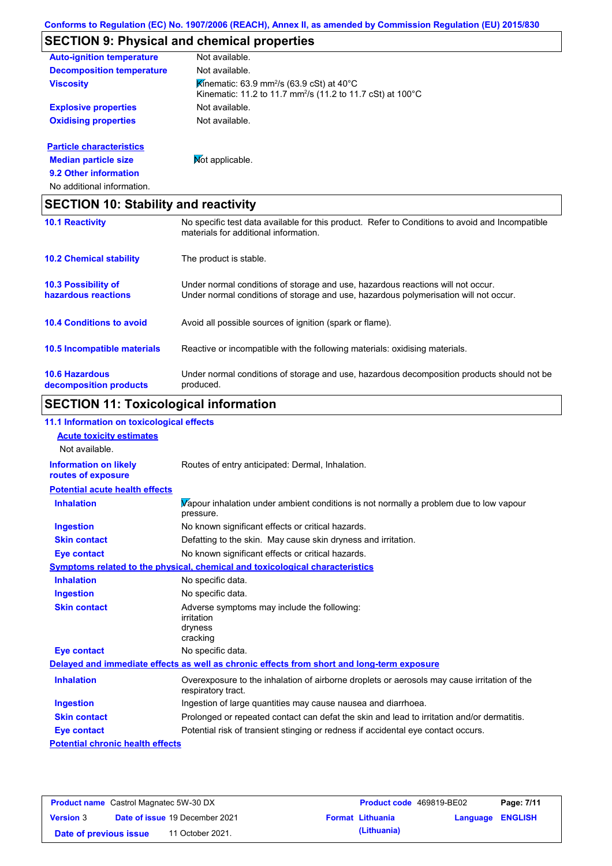# **SECTION 9: Physical and chemical properties**

| <b>Auto-ignition temperature</b> | Not available.                                                                                                                  |
|----------------------------------|---------------------------------------------------------------------------------------------------------------------------------|
| <b>Decomposition temperature</b> | Not available.                                                                                                                  |
| <b>Viscosity</b>                 | Kinematic: 63.9 mm <sup>2</sup> /s (63.9 cSt) at 40°C<br>Kinematic: 11.2 to 11.7 mm <sup>2</sup> /s (11.2 to 11.7 cSt) at 100°C |
| <b>Explosive properties</b>      | Not available.                                                                                                                  |
| <b>Oxidising properties</b>      | Not available.                                                                                                                  |
| <b>Particle characteristics</b>  |                                                                                                                                 |
| <b>Median particle size</b>      | <b>Not applicable.</b>                                                                                                          |

# **9.2 Other information**

No additional information.

| <b>SECTION 10: Stability and reactivity</b>       |                                                                                                                                                                         |  |
|---------------------------------------------------|-------------------------------------------------------------------------------------------------------------------------------------------------------------------------|--|
| <b>10.1 Reactivity</b>                            | No specific test data available for this product. Refer to Conditions to avoid and Incompatible<br>materials for additional information.                                |  |
| <b>10.2 Chemical stability</b>                    | The product is stable.                                                                                                                                                  |  |
| <b>10.3 Possibility of</b><br>hazardous reactions | Under normal conditions of storage and use, hazardous reactions will not occur.<br>Under normal conditions of storage and use, hazardous polymerisation will not occur. |  |
| <b>10.4 Conditions to avoid</b>                   | Avoid all possible sources of ignition (spark or flame).                                                                                                                |  |
| <b>10.5 Incompatible materials</b>                | Reactive or incompatible with the following materials: oxidising materials.                                                                                             |  |
| <b>10.6 Hazardous</b><br>decomposition products   | Under normal conditions of storage and use, hazardous decomposition products should not be<br>produced.                                                                 |  |

# **SECTION 11: Toxicological information**

| 11.1 Information on toxicological effects          |                                                                                                                   |
|----------------------------------------------------|-------------------------------------------------------------------------------------------------------------------|
| <b>Acute toxicity estimates</b>                    |                                                                                                                   |
| Not available.                                     |                                                                                                                   |
| <b>Information on likely</b><br>routes of exposure | Routes of entry anticipated: Dermal, Inhalation.                                                                  |
| <b>Potential acute health effects</b>              |                                                                                                                   |
| <b>Inhalation</b>                                  | Vapour inhalation under ambient conditions is not normally a problem due to low vapour<br>pressure.               |
| Ingestion                                          | No known significant effects or critical hazards.                                                                 |
| <b>Skin contact</b>                                | Defatting to the skin. May cause skin dryness and irritation.                                                     |
| Eye contact                                        | No known significant effects or critical hazards.                                                                 |
|                                                    | Symptoms related to the physical, chemical and toxicological characteristics                                      |
| <b>Inhalation</b>                                  | No specific data.                                                                                                 |
| <b>Ingestion</b>                                   | No specific data.                                                                                                 |
| <b>Skin contact</b>                                | Adverse symptoms may include the following:<br>irritation<br>dryness<br>cracking                                  |
| <b>Eye contact</b>                                 | No specific data.                                                                                                 |
|                                                    | Delayed and immediate effects as well as chronic effects from short and long-term exposure                        |
| <b>Inhalation</b>                                  | Overexposure to the inhalation of airborne droplets or aerosols may cause irritation of the<br>respiratory tract. |
| <b>Ingestion</b>                                   | Ingestion of large quantities may cause nausea and diarrhoea.                                                     |
| <b>Skin contact</b>                                | Prolonged or repeated contact can defat the skin and lead to irritation and/or dermatitis.                        |
| <b>Eye contact</b>                                 | Potential risk of transient stinging or redness if accidental eye contact occurs.                                 |
| <b>Potential chronic health effects</b>            |                                                                                                                   |
|                                                    |                                                                                                                   |

| <b>Product name</b> Castrol Magnatec 5W-30 DX |  |                                       | <b>Product code</b> 469819-BE02 |                         | Page: 7/11       |  |
|-----------------------------------------------|--|---------------------------------------|---------------------------------|-------------------------|------------------|--|
| <b>Version 3</b>                              |  | <b>Date of issue 19 December 2021</b> |                                 | <b>Format Lithuania</b> | Language ENGLISH |  |
| Date of previous issue                        |  | 11 October 2021.                      |                                 | (Lithuania)             |                  |  |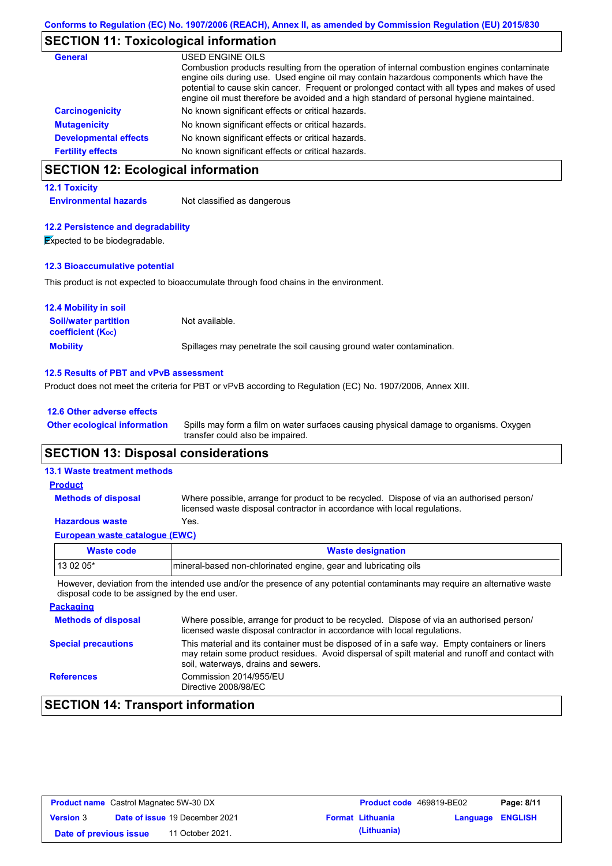## **SECTION 11: Toxicological information**

| <b>General</b>               | USED ENGINE OILS                                                                                                                                                                                                                                                                                                                                                                     |
|------------------------------|--------------------------------------------------------------------------------------------------------------------------------------------------------------------------------------------------------------------------------------------------------------------------------------------------------------------------------------------------------------------------------------|
|                              | Combustion products resulting from the operation of internal combustion engines contaminate<br>engine oils during use. Used engine oil may contain hazardous components which have the<br>potential to cause skin cancer. Frequent or prolonged contact with all types and makes of used<br>engine oil must therefore be avoided and a high standard of personal hygiene maintained. |
| <b>Carcinogenicity</b>       | No known significant effects or critical hazards.                                                                                                                                                                                                                                                                                                                                    |
| <b>Mutagenicity</b>          | No known significant effects or critical hazards.                                                                                                                                                                                                                                                                                                                                    |
| <b>Developmental effects</b> | No known significant effects or critical hazards.                                                                                                                                                                                                                                                                                                                                    |
| <b>Fertility effects</b>     | No known significant effects or critical hazards.                                                                                                                                                                                                                                                                                                                                    |

# **SECTION 12: Ecological information**

### **12.1 Toxicity**

**Environmental hazards** Not classified as dangerous

### **12.2 Persistence and degradability**

**Expected to be biodegradable.** 

### **12.3 Bioaccumulative potential**

This product is not expected to bioaccumulate through food chains in the environment.

| <b>12.4 Mobility in soil</b>                                  |                                                                      |
|---------------------------------------------------------------|----------------------------------------------------------------------|
| <b>Soil/water partition</b><br>coefficient (K <sub>oc</sub> ) | Not available.                                                       |
| <b>Mobility</b>                                               | Spillages may penetrate the soil causing ground water contamination. |

### **12.5 Results of PBT and vPvB assessment**

Product does not meet the criteria for PBT or vPvB according to Regulation (EC) No. 1907/2006, Annex XIII.

### **12.6 Other adverse effects**

Spills may form a film on water surfaces causing physical damage to organisms. Oxygen transfer could also be impaired. **Other ecological information**

## **SECTION 13: Disposal considerations**

### **13.1 Waste treatment methods**

#### Where possible, arrange for product to be recycled. Dispose of via an authorised person/ licensed waste disposal contractor in accordance with local regulations. **Methods of disposal Product**

### **Hazardous waste** Yes.

| European waste cataloque (EWC) |                                                                 |  |
|--------------------------------|-----------------------------------------------------------------|--|
| Waste code                     | <b>Waste designation</b>                                        |  |
| l 13 02 05*                    | mineral-based non-chlorinated engine, gear and lubricating oils |  |

However, deviation from the intended use and/or the presence of any potential contaminants may require an alternative waste disposal code to be assigned by the end user.

| <b>Packaging</b>           |                                                                                                                                                                                                                                         |
|----------------------------|-----------------------------------------------------------------------------------------------------------------------------------------------------------------------------------------------------------------------------------------|
| <b>Methods of disposal</b> | Where possible, arrange for product to be recycled. Dispose of via an authorised person/<br>licensed waste disposal contractor in accordance with local regulations.                                                                    |
| <b>Special precautions</b> | This material and its container must be disposed of in a safe way. Empty containers or liners<br>may retain some product residues. Avoid dispersal of spilt material and runoff and contact with<br>soil, waterways, drains and sewers. |
| <b>References</b>          | Commission 2014/955/EU<br>Directive 2008/98/EC                                                                                                                                                                                          |

## **SECTION 14: Transport information**

| <b>Product name</b> Castrol Magnatec 5W-30 DX |  |                                       | <b>Product code</b> 469819-BE02 |                         | Page: 8/11              |  |
|-----------------------------------------------|--|---------------------------------------|---------------------------------|-------------------------|-------------------------|--|
| <b>Version 3</b>                              |  | <b>Date of issue 19 December 2021</b> |                                 | <b>Format Lithuania</b> | <b>Language ENGLISH</b> |  |
| Date of previous issue                        |  | 11 October 2021.                      |                                 | (Lithuania)             |                         |  |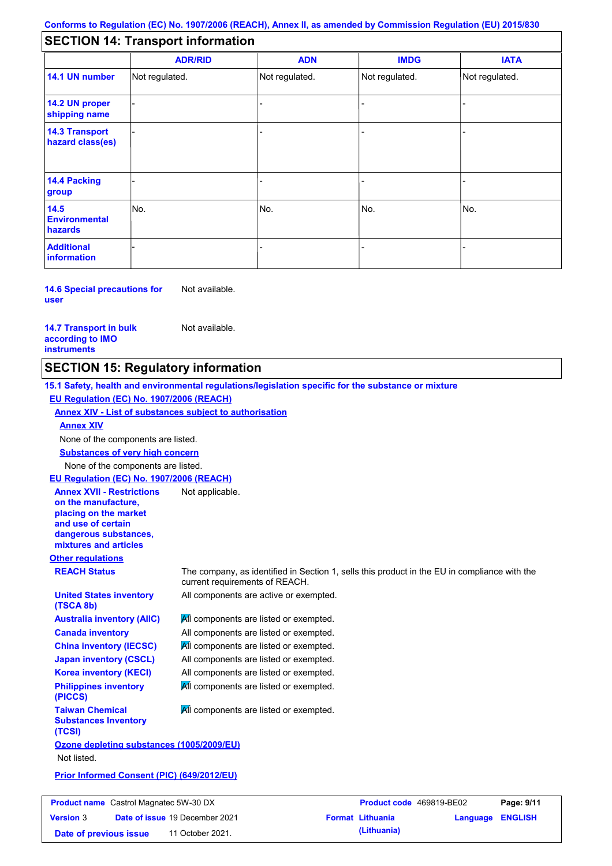## **SECTION 14: Transport information**

|                                           | <b>ADR/RID</b> | <b>ADN</b>     | <b>IMDG</b>    | <b>IATA</b>    |
|-------------------------------------------|----------------|----------------|----------------|----------------|
| 14.1 UN number                            | Not regulated. | Not regulated. | Not regulated. | Not regulated. |
| 14.2 UN proper<br>shipping name           |                |                | ٠              |                |
| <b>14.3 Transport</b><br>hazard class(es) |                |                | -              |                |
| 14.4 Packing<br>group                     |                |                |                |                |
| 14.5<br><b>Environmental</b><br>hazards   | No.            | No.            | No.            | No.            |
| <b>Additional</b><br>information          |                |                | -              |                |

**14.6 Special precautions for user** Not available.

**14.7 Transport in bulk according to IMO instruments**

Not available.

Not applicable.

## **SECTION 15: Regulatory information**

**15.1 Safety, health and environmental regulations/legislation specific for the substance or mixture EU Regulation (EC) No. 1907/2006 (REACH)**

**Annex XIV - List of substances subject to authorisation**

### **Annex XIV**

None of the components are listed.

**Substances of very high concern**

None of the components are listed.

**EU Regulation (EC) No. 1907/2006 (REACH)**

**Annex XVII - Restrictions on the manufacture, placing on the market and use of certain dangerous substances, mixtures and articles**

**United States inventory** 

**Australia inventory (AIIC) Canada inventory China inventory (IECSC) Japan inventory (CSCL) Korea inventory (KECI) Philippines inventory** 

**Other regulations**

**(TSCA 8b)**

**(PICCS)**

**(TCSI)**

**Taiwan Chemical Substances Inventory** 

**REACH Status** The company, as identified in Section 1, sells this product in the EU in compliance with the current requirements of REACH.

All components are active or exempted.

**All components are listed or exempted.** All components are listed or exempted. **All components are listed or exempted.** All components are listed or exempted. All components are listed or exempted. All components are listed or exempted.

**All components are listed or exempted.** 

**Ozone depleting substances (1005/2009/EU)** Not listed.

**Prior Informed Consent (PIC) (649/2012/EU)**

| <b>Product name</b> Castrol Magnatec 5W-30 DX |  |                                       | <b>Product code</b> 469819-BE02 |                         | Page: 9/11              |  |
|-----------------------------------------------|--|---------------------------------------|---------------------------------|-------------------------|-------------------------|--|
| <b>Version 3</b>                              |  | <b>Date of issue 19 December 2021</b> |                                 | <b>Format Lithuania</b> | <b>Language ENGLISH</b> |  |
| Date of previous issue                        |  | 11 October 2021.                      |                                 | (Lithuania)             |                         |  |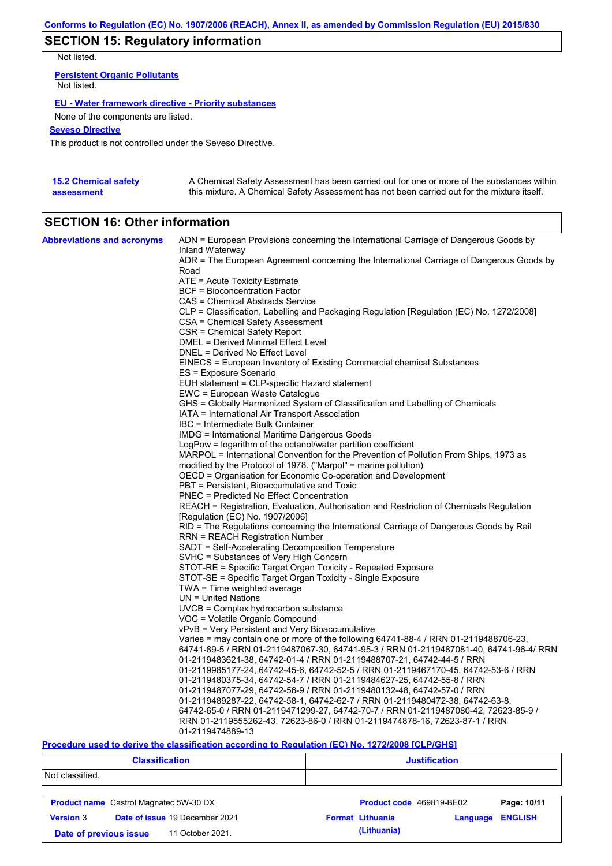# **SECTION 15: Regulatory information**

Not listed.

**Persistent Organic Pollutants** Not listed.

### **EU - Water framework directive - Priority substances**

None of the components are listed.

### **Seveso Directive**

This product is not controlled under the Seveso Directive.

| <b>15.2 Chemical safety</b> | A Chemical Safety Assessment has been carried out for one or more of the substances within  |
|-----------------------------|---------------------------------------------------------------------------------------------|
| assessment                  | this mixture. A Chemical Safety Assessment has not been carried out for the mixture itself. |

# **SECTION 16: Other information**

| <b>Abbreviations and acronyms</b> | ADN = European Provisions concerning the International Carriage of Dangerous Goods by<br>Inland Waterway |
|-----------------------------------|----------------------------------------------------------------------------------------------------------|
|                                   | ADR = The European Agreement concerning the International Carriage of Dangerous Goods by<br>Road         |
|                                   |                                                                                                          |
|                                   | ATE = Acute Toxicity Estimate<br>BCF = Bioconcentration Factor                                           |
|                                   |                                                                                                          |
|                                   | CAS = Chemical Abstracts Service                                                                         |
|                                   | CLP = Classification, Labelling and Packaging Regulation [Regulation (EC) No. 1272/2008]                 |
|                                   | CSA = Chemical Safety Assessment                                                                         |
|                                   | CSR = Chemical Safety Report<br>DMEL = Derived Minimal Effect Level                                      |
|                                   | DNEL = Derived No Effect Level                                                                           |
|                                   | EINECS = European Inventory of Existing Commercial chemical Substances                                   |
|                                   | ES = Exposure Scenario                                                                                   |
|                                   | EUH statement = CLP-specific Hazard statement                                                            |
|                                   | EWC = European Waste Catalogue                                                                           |
|                                   | GHS = Globally Harmonized System of Classification and Labelling of Chemicals                            |
|                                   | IATA = International Air Transport Association                                                           |
|                                   | IBC = Intermediate Bulk Container                                                                        |
|                                   | IMDG = International Maritime Dangerous Goods                                                            |
|                                   | LogPow = logarithm of the octanol/water partition coefficient                                            |
|                                   | MARPOL = International Convention for the Prevention of Pollution From Ships, 1973 as                    |
|                                   | modified by the Protocol of 1978. ("Marpol" = marine pollution)                                          |
|                                   | OECD = Organisation for Economic Co-operation and Development                                            |
|                                   | PBT = Persistent, Bioaccumulative and Toxic                                                              |
|                                   | <b>PNEC</b> = Predicted No Effect Concentration                                                          |
|                                   | REACH = Registration, Evaluation, Authorisation and Restriction of Chemicals Regulation                  |
|                                   | [Regulation (EC) No. 1907/2006]                                                                          |
|                                   | RID = The Regulations concerning the International Carriage of Dangerous Goods by Rail                   |
|                                   | RRN = REACH Registration Number                                                                          |
|                                   | SADT = Self-Accelerating Decomposition Temperature                                                       |
|                                   | SVHC = Substances of Very High Concern                                                                   |
|                                   | STOT-RE = Specific Target Organ Toxicity - Repeated Exposure                                             |
|                                   | STOT-SE = Specific Target Organ Toxicity - Single Exposure                                               |
|                                   | $TWA = Time$ weighted average                                                                            |
|                                   | $UN = United Nations$                                                                                    |
|                                   | UVCB = Complex hydrocarbon substance                                                                     |
|                                   | VOC = Volatile Organic Compound                                                                          |
|                                   | vPvB = Very Persistent and Very Bioaccumulative                                                          |
|                                   | Varies = may contain one or more of the following 64741-88-4 / RRN 01-2119488706-23,                     |
|                                   | 64741-89-5 / RRN 01-2119487067-30, 64741-95-3 / RRN 01-2119487081-40, 64741-96-4/ RRN                    |
|                                   | 01-2119483621-38, 64742-01-4 / RRN 01-2119488707-21, 64742-44-5 / RRN                                    |
|                                   | 01-2119985177-24, 64742-45-6, 64742-52-5 / RRN 01-2119467170-45, 64742-53-6 / RRN                        |
|                                   | 01-2119480375-34, 64742-54-7 / RRN 01-2119484627-25, 64742-55-8 / RRN                                    |
|                                   | 01-2119487077-29, 64742-56-9 / RRN 01-2119480132-48, 64742-57-0 / RRN                                    |
|                                   | 01-2119489287-22, 64742-58-1, 64742-62-7 / RRN 01-2119480472-38, 64742-63-8,                             |
|                                   | 64742-65-0 / RRN 01-2119471299-27, 64742-70-7 / RRN 01-2119487080-42, 72623-85-9 /                       |
|                                   | RRN 01-2119555262-43, 72623-86-0 / RRN 01-2119474878-16, 72623-87-1 / RRN                                |
|                                   | 01-2119474889-13                                                                                         |

### **Procedure used to derive the classification according to Regulation (EC) No. 1272/2008 [CLP/GHS]**

| <b>Classification</b>                      |                                               | <b>Justification</b>     |          |                |  |
|--------------------------------------------|-----------------------------------------------|--------------------------|----------|----------------|--|
| Not classified.                            |                                               |                          |          |                |  |
|                                            | <b>Product name</b> Castrol Magnatec 5W-30 DX | Product code 469819-BE02 |          | Page: 10/11    |  |
| <b>Version 3</b>                           | Date of issue 19 December 2021                | <b>Format Lithuania</b>  | Language | <b>ENGLISH</b> |  |
| 11 October 2021.<br>Date of previous issue |                                               | (Lithuania)              |          |                |  |